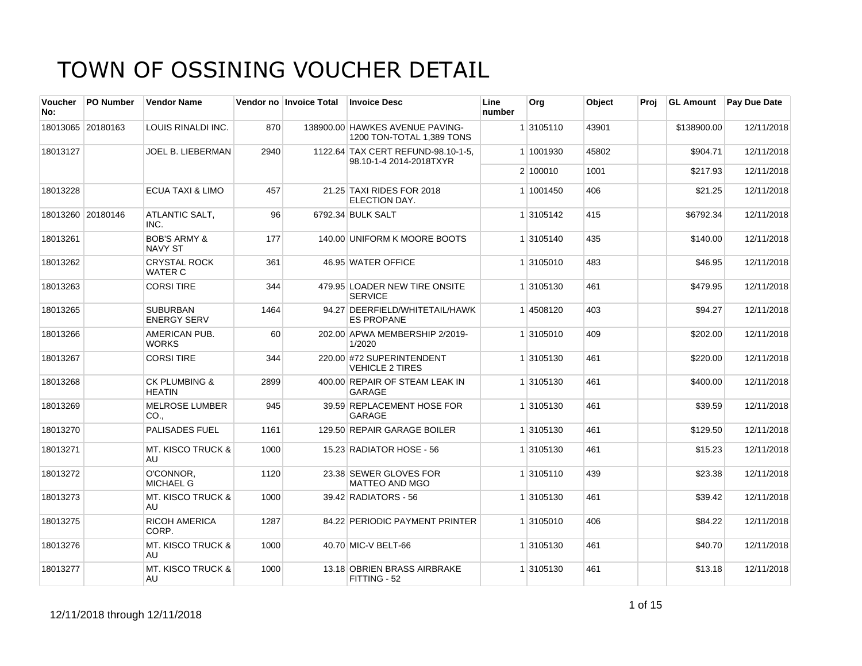| Voucher<br>No: | <b>PO Number</b>  | <b>Vendor Name</b>                        |      | Vendor no Invoice Total | <b>Invoice Desc</b>                                           | Line<br>number | Org       | Object | Proj | <b>GL Amount</b> | <b>Pay Due Date</b> |
|----------------|-------------------|-------------------------------------------|------|-------------------------|---------------------------------------------------------------|----------------|-----------|--------|------|------------------|---------------------|
|                | 18013065 20180163 | LOUIS RINALDI INC.                        | 870  |                         | 138900.00 HAWKES AVENUE PAVING-<br>1200 TON-TOTAL 1.389 TONS  |                | 1 3105110 | 43901  |      | \$138900.00      | 12/11/2018          |
| 18013127       |                   | <b>JOEL B. LIEBERMAN</b>                  | 2940 |                         | 1122.64 TAX CERT REFUND-98.10-1-5.<br>98.10-1-4 2014-2018TXYR |                | 1 1001930 | 45802  |      | \$904.71         | 12/11/2018          |
|                |                   |                                           |      |                         |                                                               |                | 2 100010  | 1001   |      | \$217.93         | 12/11/2018          |
| 18013228       |                   | <b>ECUA TAXI &amp; LIMO</b>               | 457  |                         | 21.25 TAXI RIDES FOR 2018<br>ELECTION DAY.                    |                | 1 1001450 | 406    |      | \$21.25          | 12/11/2018          |
|                | 18013260 20180146 | ATLANTIC SALT,<br>INC.                    | 96   |                         | 6792.34 BULK SALT                                             |                | 1 3105142 | 415    |      | \$6792.34        | 12/11/2018          |
| 18013261       |                   | <b>BOB'S ARMY &amp;</b><br><b>NAVY ST</b> | 177  |                         | 140.00 UNIFORM K MOORE BOOTS                                  |                | 1 3105140 | 435    |      | \$140.00         | 12/11/2018          |
| 18013262       |                   | <b>CRYSTAL ROCK</b><br><b>WATER C</b>     | 361  |                         | 46.95 WATER OFFICE                                            |                | 1 3105010 | 483    |      | \$46.95          | 12/11/2018          |
| 18013263       |                   | <b>CORSI TIRE</b>                         | 344  |                         | 479.95 LOADER NEW TIRE ONSITE<br><b>SERVICE</b>               |                | 1 3105130 | 461    |      | \$479.95         | 12/11/2018          |
| 18013265       |                   | <b>SUBURBAN</b><br><b>ENERGY SERV</b>     | 1464 |                         | 94.27 DEERFIELD/WHITETAIL/HAWK<br><b>ES PROPANE</b>           |                | 1 4508120 | 403    |      | \$94.27          | 12/11/2018          |
| 18013266       |                   | AMERICAN PUB.<br><b>WORKS</b>             | 60   |                         | 202.00 APWA MEMBERSHIP 2/2019-<br>1/2020                      |                | 1 3105010 | 409    |      | \$202.00         | 12/11/2018          |
| 18013267       |                   | <b>CORSI TIRE</b>                         | 344  |                         | 220.00 #72 SUPERINTENDENT<br><b>VEHICLE 2 TIRES</b>           |                | 1 3105130 | 461    |      | \$220.00         | 12/11/2018          |
| 18013268       |                   | <b>CK PLUMBING &amp;</b><br><b>HEATIN</b> | 2899 |                         | 400.00 REPAIR OF STEAM LEAK IN<br>GARAGE                      |                | 1 3105130 | 461    |      | \$400.00         | 12/11/2018          |
| 18013269       |                   | <b>MELROSE LUMBER</b><br>CO.,             | 945  |                         | 39.59 REPLACEMENT HOSE FOR<br><b>GARAGE</b>                   |                | 1 3105130 | 461    |      | \$39.59          | 12/11/2018          |
| 18013270       |                   | <b>PALISADES FUEL</b>                     | 1161 |                         | 129.50 REPAIR GARAGE BOILER                                   |                | 1 3105130 | 461    |      | \$129.50         | 12/11/2018          |
| 18013271       |                   | <b>MT. KISCO TRUCK &amp;</b><br>AU        | 1000 |                         | 15.23 RADIATOR HOSE - 56                                      |                | 1 3105130 | 461    |      | \$15.23          | 12/11/2018          |
| 18013272       |                   | O'CONNOR.<br><b>MICHAEL G</b>             | 1120 |                         | 23.38 SEWER GLOVES FOR<br><b>MATTEO AND MGO</b>               |                | 1 3105110 | 439    |      | \$23.38          | 12/11/2018          |
| 18013273       |                   | <b>MT. KISCO TRUCK &amp;</b><br>AU        | 1000 |                         | 39.42 RADIATORS - 56                                          |                | 1 3105130 | 461    |      | \$39.42          | 12/11/2018          |
| 18013275       |                   | <b>RICOH AMERICA</b><br>CORP.             | 1287 |                         | 84.22 PERIODIC PAYMENT PRINTER                                |                | 1 3105010 | 406    |      | \$84.22          | 12/11/2018          |
| 18013276       |                   | <b>MT. KISCO TRUCK &amp;</b><br>AU        | 1000 |                         | 40.70 MIC-V BELT-66                                           |                | 1 3105130 | 461    |      | \$40.70          | 12/11/2018          |
| 18013277       |                   | <b>MT. KISCO TRUCK &amp;</b><br>AU        | 1000 |                         | 13.18 OBRIEN BRASS AIRBRAKE<br>FITTING - 52                   |                | 1 3105130 | 461    |      | \$13.18          | 12/11/2018          |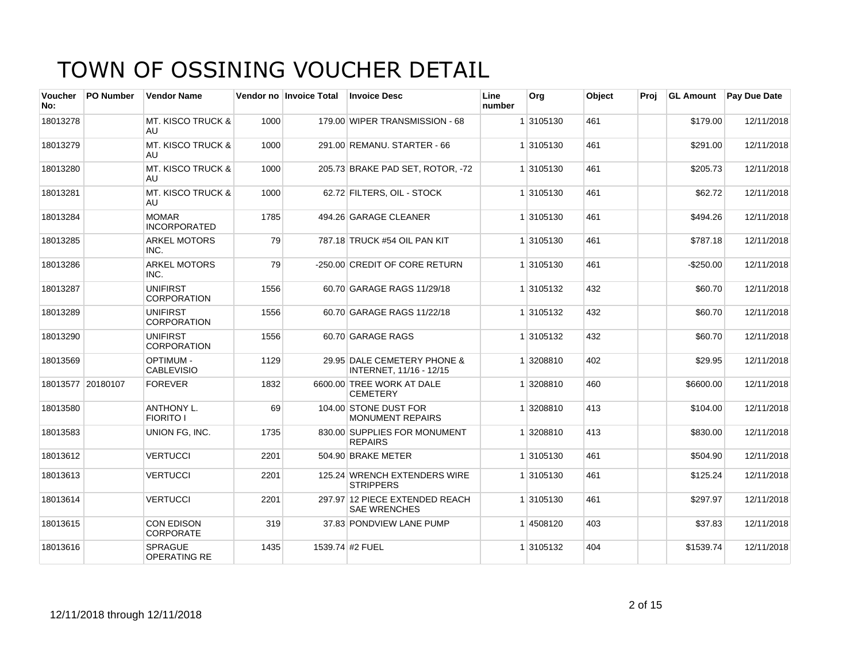| Voucher<br>No:    | <b>PO Number</b> | <b>Vendor Name</b>                    |      | Vendor no Invoice Total | <b>Invoice Desc</b>                                    | Line<br>number | Org       | Object | Proj | <b>GL Amount</b> | <b>Pay Due Date</b> |
|-------------------|------------------|---------------------------------------|------|-------------------------|--------------------------------------------------------|----------------|-----------|--------|------|------------------|---------------------|
| 18013278          |                  | <b>MT. KISCO TRUCK &amp;</b><br>AU    | 1000 |                         | 179.00 WIPER TRANSMISSION - 68                         |                | 1 3105130 | 461    |      | \$179.00         | 12/11/2018          |
| 18013279          |                  | <b>MT. KISCO TRUCK &amp;</b><br>AU.   | 1000 |                         | 291.00 REMANU. STARTER - 66                            |                | 1 3105130 | 461    |      | \$291.00         | 12/11/2018          |
| 18013280          |                  | <b>MT. KISCO TRUCK &amp;</b><br>AU    | 1000 |                         | 205.73 BRAKE PAD SET, ROTOR, -72                       |                | 1 3105130 | 461    |      | \$205.73         | 12/11/2018          |
| 18013281          |                  | <b>MT. KISCO TRUCK &amp;</b><br>AU    | 1000 |                         | 62.72 FILTERS, OIL - STOCK                             |                | 1 3105130 | 461    |      | \$62.72          | 12/11/2018          |
| 18013284          |                  | <b>MOMAR</b><br><b>INCORPORATED</b>   | 1785 |                         | 494.26 GARAGE CLEANER                                  |                | 1 3105130 | 461    |      | \$494.26         | 12/11/2018          |
| 18013285          |                  | <b>ARKEL MOTORS</b><br>INC.           | 79   |                         | 787.18 TRUCK #54 OIL PAN KIT                           |                | 1 3105130 | 461    |      | \$787.18         | 12/11/2018          |
| 18013286          |                  | <b>ARKEL MOTORS</b><br>INC.           | 79   |                         | -250.00 CREDIT OF CORE RETURN                          |                | 1 3105130 | 461    |      | $-$ \$250.00     | 12/11/2018          |
| 18013287          |                  | <b>UNIFIRST</b><br><b>CORPORATION</b> | 1556 |                         | 60.70 GARAGE RAGS 11/29/18                             |                | 1 3105132 | 432    |      | \$60.70          | 12/11/2018          |
| 18013289          |                  | <b>UNIFIRST</b><br><b>CORPORATION</b> | 1556 |                         | 60.70 GARAGE RAGS 11/22/18                             |                | 1 3105132 | 432    |      | \$60.70          | 12/11/2018          |
| 18013290          |                  | <b>UNIFIRST</b><br>CORPORATION        | 1556 |                         | 60.70 GARAGE RAGS                                      |                | 1 3105132 | 432    |      | \$60.70          | 12/11/2018          |
| 18013569          |                  | OPTIMUM -<br><b>CABLEVISIO</b>        | 1129 |                         | 29.95 DALE CEMETERY PHONE &<br>INTERNET, 11/16 - 12/15 |                | 1 3208810 | 402    |      | \$29.95          | 12/11/2018          |
| 18013577 20180107 |                  | <b>FOREVER</b>                        | 1832 |                         | 6600.00 TREE WORK AT DALE<br><b>CEMETERY</b>           |                | 1 3208810 | 460    |      | \$6600.00        | 12/11/2018          |
| 18013580          |                  | <b>ANTHONY L.</b><br><b>FIORITO I</b> | 69   |                         | 104.00 STONE DUST FOR<br><b>MONUMENT REPAIRS</b>       |                | 1 3208810 | 413    |      | \$104.00         | 12/11/2018          |
| 18013583          |                  | UNION FG, INC.                        | 1735 |                         | 830.00 SUPPLIES FOR MONUMENT<br><b>REPAIRS</b>         |                | 1 3208810 | 413    |      | \$830.00         | 12/11/2018          |
| 18013612          |                  | <b>VERTUCCI</b>                       | 2201 |                         | 504.90 BRAKE METER                                     |                | 1 3105130 | 461    |      | \$504.90         | 12/11/2018          |
| 18013613          |                  | <b>VERTUCCI</b>                       | 2201 |                         | 125.24 WRENCH EXTENDERS WIRE<br><b>STRIPPERS</b>       |                | 1 3105130 | 461    |      | \$125.24         | 12/11/2018          |
| 18013614          |                  | <b>VERTUCCI</b>                       | 2201 |                         | 297.97 12 PIECE EXTENDED REACH<br><b>SAE WRENCHES</b>  |                | 1 3105130 | 461    |      | \$297.97         | 12/11/2018          |
| 18013615          |                  | CON EDISON<br>CORPORATE               | 319  |                         | 37.83 PONDVIEW LANE PUMP                               |                | 14508120  | 403    |      | \$37.83          | 12/11/2018          |
| 18013616          |                  | <b>SPRAGUE</b><br><b>OPERATING RE</b> | 1435 |                         | 1539.74 #2 FUEL                                        |                | 1 3105132 | 404    |      | \$1539.74        | 12/11/2018          |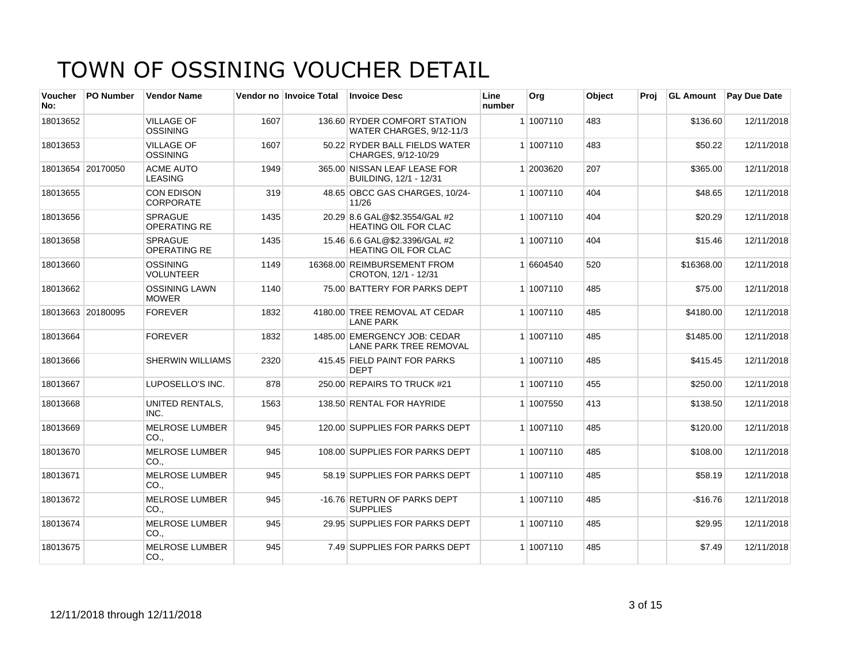| Voucher<br>No: | <b>PO Number</b>  | <b>Vendor Name</b>                    |      | Vendor no Invoice Total | <b>Invoice Desc</b>                                           | Line<br>number | Org       | Object | Proj | <b>GL Amount</b> | <b>Pay Due Date</b> |
|----------------|-------------------|---------------------------------------|------|-------------------------|---------------------------------------------------------------|----------------|-----------|--------|------|------------------|---------------------|
| 18013652       |                   | <b>VILLAGE OF</b><br><b>OSSINING</b>  | 1607 |                         | 136.60 RYDER COMFORT STATION<br>WATER CHARGES, 9/12-11/3      |                | 1 1007110 | 483    |      | \$136.60         | 12/11/2018          |
| 18013653       |                   | <b>VILLAGE OF</b><br><b>OSSINING</b>  | 1607 |                         | 50.22 RYDER BALL FIELDS WATER<br>CHARGES, 9/12-10/29          |                | 1 1007110 | 483    |      | \$50.22          | 12/11/2018          |
|                | 18013654 20170050 | <b>ACME AUTO</b><br><b>LEASING</b>    | 1949 |                         | 365.00 NISSAN LEAF LEASE FOR<br>BUILDING, 12/1 - 12/31        |                | 1 2003620 | 207    |      | \$365.00         | 12/11/2018          |
| 18013655       |                   | <b>CON EDISON</b><br><b>CORPORATE</b> | 319  |                         | 48.65 OBCC GAS CHARGES, 10/24-<br>11/26                       |                | 1 1007110 | 404    |      | \$48.65          | 12/11/2018          |
| 18013656       |                   | <b>SPRAGUE</b><br><b>OPERATING RE</b> | 1435 |                         | 20.29 8.6 GAL@\$2.3554/GAL #2<br><b>HEATING OIL FOR CLAC</b>  |                | 1 1007110 | 404    |      | \$20.29          | 12/11/2018          |
| 18013658       |                   | <b>SPRAGUE</b><br><b>OPERATING RE</b> | 1435 |                         | 15.46 6.6 GAL@\$2.3396/GAL #2<br>HEATING OIL FOR CLAC         |                | 1 1007110 | 404    |      | \$15.46          | 12/11/2018          |
| 18013660       |                   | <b>OSSINING</b><br><b>VOLUNTEER</b>   | 1149 |                         | 16368.00 REIMBURSEMENT FROM<br>CROTON, 12/1 - 12/31           |                | 1 6604540 | 520    |      | \$16368.00       | 12/11/2018          |
| 18013662       |                   | <b>OSSINING LAWN</b><br><b>MOWER</b>  | 1140 |                         | 75.00 BATTERY FOR PARKS DEPT                                  |                | 1 1007110 | 485    |      | \$75.00          | 12/11/2018          |
|                | 18013663 20180095 | <b>FOREVER</b>                        | 1832 |                         | 4180.00 TREE REMOVAL AT CEDAR<br><b>LANE PARK</b>             |                | 1 1007110 | 485    |      | \$4180.00        | 12/11/2018          |
| 18013664       |                   | <b>FOREVER</b>                        | 1832 |                         | 1485.00 EMERGENCY JOB: CEDAR<br><b>LANE PARK TREE REMOVAL</b> |                | 1 1007110 | 485    |      | \$1485.00        | 12/11/2018          |
| 18013666       |                   | SHERWIN WILLIAMS                      | 2320 |                         | 415.45 FIELD PAINT FOR PARKS<br><b>DEPT</b>                   |                | 1 1007110 | 485    |      | \$415.45         | 12/11/2018          |
| 18013667       |                   | LUPOSELLO'S INC.                      | 878  |                         | 250.00 REPAIRS TO TRUCK #21                                   |                | 1 1007110 | 455    |      | \$250.00         | 12/11/2018          |
| 18013668       |                   | <b>UNITED RENTALS,</b><br>INC.        | 1563 |                         | 138.50 RENTAL FOR HAYRIDE                                     |                | 1 1007550 | 413    |      | \$138.50         | 12/11/2018          |
| 18013669       |                   | <b>MELROSE LUMBER</b><br>CO.,         | 945  |                         | 120.00 SUPPLIES FOR PARKS DEPT                                |                | 1 1007110 | 485    |      | \$120.00         | 12/11/2018          |
| 18013670       |                   | <b>MELROSE LUMBER</b><br>CO.          | 945  |                         | 108.00 SUPPLIES FOR PARKS DEPT                                |                | 1 1007110 | 485    |      | \$108.00         | 12/11/2018          |
| 18013671       |                   | <b>MELROSE LUMBER</b><br>CO.          | 945  |                         | 58.19 SUPPLIES FOR PARKS DEPT                                 |                | 1 1007110 | 485    |      | \$58.19          | 12/11/2018          |
| 18013672       |                   | <b>MELROSE LUMBER</b><br>CO.,         | 945  |                         | -16.76 RETURN OF PARKS DEPT<br><b>SUPPLIES</b>                |                | 1 1007110 | 485    |      | $-$16.76$        | 12/11/2018          |
| 18013674       |                   | <b>MELROSE LUMBER</b><br>CO.,         | 945  |                         | 29.95 SUPPLIES FOR PARKS DEPT                                 |                | 1 1007110 | 485    |      | \$29.95          | 12/11/2018          |
| 18013675       |                   | <b>MELROSE LUMBER</b><br>CO.,         | 945  |                         | 7.49 SUPPLIES FOR PARKS DEPT                                  |                | 1 1007110 | 485    |      | \$7.49           | 12/11/2018          |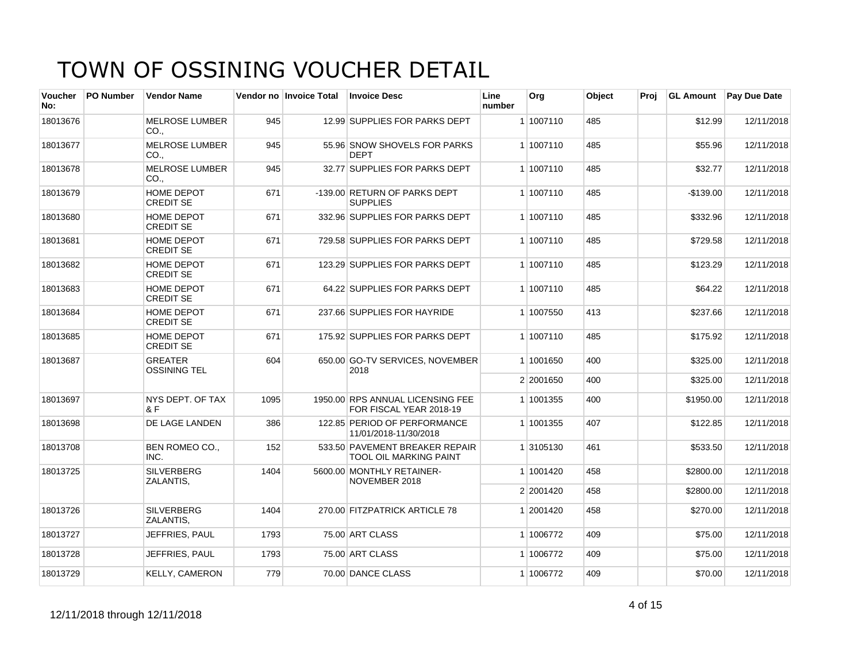| <b>Voucher</b><br>No: | <b>PO Number</b> | <b>Vendor Name</b>                    |      | Vendor no Invoice Total | <b>Invoice Desc</b>                                         | Line<br>number | Org       | Object | Proi | <b>GL Amount</b> | <b>Pay Due Date</b> |
|-----------------------|------------------|---------------------------------------|------|-------------------------|-------------------------------------------------------------|----------------|-----------|--------|------|------------------|---------------------|
| 18013676              |                  | <b>MELROSE LUMBER</b><br>CO.,         | 945  |                         | 12.99 SUPPLIES FOR PARKS DEPT                               |                | 1 1007110 | 485    |      | \$12.99          | 12/11/2018          |
| 18013677              |                  | <b>MELROSE LUMBER</b><br>CO.,         | 945  |                         | 55.96 SNOW SHOVELS FOR PARKS<br><b>DEPT</b>                 |                | 1 1007110 | 485    |      | \$55.96          | 12/11/2018          |
| 18013678              |                  | <b>MELROSE LUMBER</b><br>$CO1$ .      | 945  |                         | 32.77 SUPPLIES FOR PARKS DEPT                               |                | 1 1007110 | 485    |      | \$32.77          | 12/11/2018          |
| 18013679              |                  | HOME DEPOT<br><b>CREDIT SE</b>        | 671  |                         | -139.00 RETURN OF PARKS DEPT<br><b>SUPPLIES</b>             |                | 1 1007110 | 485    |      | $-$139.00$       | 12/11/2018          |
| 18013680              |                  | HOME DEPOT<br><b>CREDIT SE</b>        | 671  |                         | 332.96 SUPPLIES FOR PARKS DEPT                              |                | 1 1007110 | 485    |      | \$332.96         | 12/11/2018          |
| 18013681              |                  | <b>HOME DEPOT</b><br><b>CREDIT SE</b> | 671  |                         | 729.58 SUPPLIES FOR PARKS DEPT                              |                | 1 1007110 | 485    |      | \$729.58         | 12/11/2018          |
| 18013682              |                  | HOME DEPOT<br><b>CREDIT SE</b>        | 671  |                         | 123.29 SUPPLIES FOR PARKS DEPT                              |                | 1 1007110 | 485    |      | \$123.29         | 12/11/2018          |
| 18013683              |                  | HOME DEPOT<br><b>CREDIT SE</b>        | 671  |                         | 64.22 SUPPLIES FOR PARKS DEPT                               |                | 1 1007110 | 485    |      | \$64.22          | 12/11/2018          |
| 18013684              |                  | HOME DEPOT<br><b>CREDIT SE</b>        | 671  |                         | 237.66 SUPPLIES FOR HAYRIDE                                 |                | 1 1007550 | 413    |      | \$237.66         | 12/11/2018          |
| 18013685              |                  | HOME DEPOT<br><b>CREDIT SE</b>        | 671  |                         | 175.92 SUPPLIES FOR PARKS DEPT                              |                | 1 1007110 | 485    |      | \$175.92         | 12/11/2018          |
| 18013687              |                  | <b>GREATER</b><br><b>OSSINING TEL</b> | 604  |                         | 650.00 GO-TV SERVICES, NOVEMBER<br>2018                     |                | 1 1001650 | 400    |      | \$325.00         | 12/11/2018          |
|                       |                  |                                       |      |                         |                                                             |                | 2 2001650 | 400    |      | \$325.00         | 12/11/2018          |
| 18013697              |                  | NYS DEPT. OF TAX<br>R F               | 1095 |                         | 1950.00 RPS ANNUAL LICENSING FEE<br>FOR FISCAL YEAR 2018-19 |                | 1 1001355 | 400    |      | \$1950.00        | 12/11/2018          |
| 18013698              |                  | DE LAGE LANDEN                        | 386  |                         | 122.85 PERIOD OF PERFORMANCE<br>11/01/2018-11/30/2018       |                | 1 1001355 | 407    |      | \$122.85         | 12/11/2018          |
| 18013708              |                  | <b>BEN ROMEO CO.,</b><br>INC.         | 152  |                         | 533.50 PAVEMENT BREAKER REPAIR<br>TOOL OIL MARKING PAINT    |                | 1 3105130 | 461    |      | \$533.50         | 12/11/2018          |
| 18013725              |                  | <b>SILVERBERG</b><br>ZALANTIS,        | 1404 |                         | 5600.00 MONTHLY RETAINER-<br>NOVEMBER 2018                  |                | 1 1001420 | 458    |      | \$2800.00        | 12/11/2018          |
|                       |                  |                                       |      |                         |                                                             |                | 2 2001420 | 458    |      | \$2800.00        | 12/11/2018          |
| 18013726              |                  | <b>SILVERBERG</b><br>ZALANTIS.        | 1404 |                         | 270.00 FITZPATRICK ARTICLE 78                               |                | 1 2001420 | 458    |      | \$270.00         | 12/11/2018          |
| 18013727              |                  | JEFFRIES, PAUL                        | 1793 |                         | 75.00 ART CLASS                                             |                | 1 1006772 | 409    |      | \$75.00          | 12/11/2018          |
| 18013728              |                  | JEFFRIES, PAUL                        | 1793 |                         | 75.00 ART CLASS                                             |                | 1 1006772 | 409    |      | \$75.00          | 12/11/2018          |
| 18013729              |                  | <b>KELLY, CAMERON</b>                 | 779  |                         | 70.00 DANCE CLASS                                           |                | 1 1006772 | 409    |      | \$70.00          | 12/11/2018          |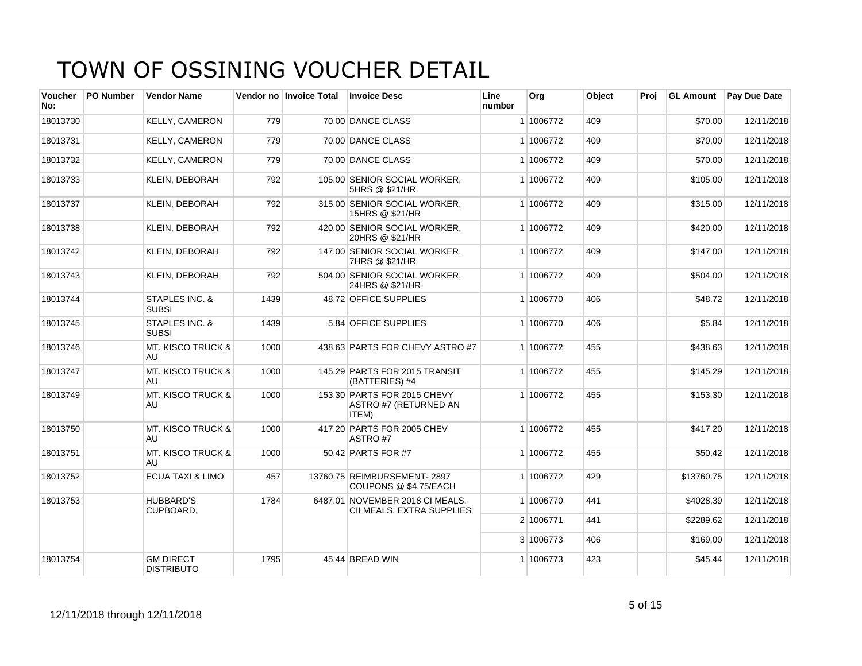| Voucher<br>No: | <b>PO Number</b> | <b>Vendor Name</b>                    |      | Vendor no Invoice Total | <b>Invoice Desc</b>                                           | Line<br>number | Org       | Object | Proj | <b>GL Amount</b> | <b>Pay Due Date</b> |
|----------------|------------------|---------------------------------------|------|-------------------------|---------------------------------------------------------------|----------------|-----------|--------|------|------------------|---------------------|
| 18013730       |                  | <b>KELLY, CAMERON</b>                 | 779  |                         | 70.00 DANCE CLASS                                             |                | 1 1006772 | 409    |      | \$70.00          | 12/11/2018          |
| 18013731       |                  | <b>KELLY, CAMERON</b>                 | 779  |                         | 70.00 DANCE CLASS                                             |                | 1 1006772 | 409    |      | \$70.00          | 12/11/2018          |
| 18013732       |                  | <b>KELLY, CAMERON</b>                 | 779  |                         | 70.00 DANCE CLASS                                             |                | 1 1006772 | 409    |      | \$70.00          | 12/11/2018          |
| 18013733       |                  | <b>KLEIN, DEBORAH</b>                 | 792  |                         | 105.00 SENIOR SOCIAL WORKER,<br>5HRS @ \$21/HR                |                | 1 1006772 | 409    |      | \$105.00         | 12/11/2018          |
| 18013737       |                  | <b>KLEIN, DEBORAH</b>                 | 792  |                         | 315.00 SENIOR SOCIAL WORKER,<br>15HRS @ \$21/HR               |                | 1 1006772 | 409    |      | \$315.00         | 12/11/2018          |
| 18013738       |                  | <b>KLEIN, DEBORAH</b>                 | 792  |                         | 420.00 SENIOR SOCIAL WORKER,<br>20HRS @ \$21/HR               |                | 1 1006772 | 409    |      | \$420.00         | 12/11/2018          |
| 18013742       |                  | <b>KLEIN, DEBORAH</b>                 | 792  |                         | 147.00 SENIOR SOCIAL WORKER,<br>7HRS @ \$21/HR                |                | 1 1006772 | 409    |      | \$147.00         | 12/11/2018          |
| 18013743       |                  | <b>KLEIN, DEBORAH</b>                 | 792  |                         | 504.00 SENIOR SOCIAL WORKER.<br>24HRS @ \$21/HR               |                | 1 1006772 | 409    |      | \$504.00         | 12/11/2018          |
| 18013744       |                  | STAPLES INC. &<br><b>SUBSI</b>        | 1439 |                         | 48.72 OFFICE SUPPLIES                                         |                | 1 1006770 | 406    |      | \$48.72          | 12/11/2018          |
| 18013745       |                  | STAPLES INC. &<br><b>SUBSI</b>        | 1439 |                         | 5.84 OFFICE SUPPLIES                                          |                | 1 1006770 | 406    |      | \$5.84           | 12/11/2018          |
| 18013746       |                  | <b>MT. KISCO TRUCK &amp;</b><br>AU    | 1000 |                         | 438.63 PARTS FOR CHEVY ASTRO #7                               |                | 1 1006772 | 455    |      | \$438.63         | 12/11/2018          |
| 18013747       |                  | <b>MT. KISCO TRUCK &amp;</b><br>AU    | 1000 |                         | 145.29 PARTS FOR 2015 TRANSIT<br>(BATTERIES) #4               |                | 1 1006772 | 455    |      | \$145.29         | 12/11/2018          |
| 18013749       |                  | <b>MT. KISCO TRUCK &amp;</b><br>AU    | 1000 |                         | 153.30 PARTS FOR 2015 CHEVY<br>ASTRO #7 (RETURNED AN<br>ITEM) |                | 1 1006772 | 455    |      | \$153.30         | 12/11/2018          |
| 18013750       |                  | <b>MT. KISCO TRUCK &amp;</b><br>AU    | 1000 |                         | 417.20 PARTS FOR 2005 CHEV<br>ASTRO#7                         |                | 1 1006772 | 455    |      | \$417.20         | 12/11/2018          |
| 18013751       |                  | <b>MT. KISCO TRUCK &amp;</b><br>AU    | 1000 |                         | 50.42 PARTS FOR #7                                            |                | 1 1006772 | 455    |      | \$50.42          | 12/11/2018          |
| 18013752       |                  | <b>ECUA TAXI &amp; LIMO</b>           | 457  |                         | 13760.75 REIMBURSEMENT-2897<br>COUPONS @ \$4.75/EACH          |                | 1 1006772 | 429    |      | \$13760.75       | 12/11/2018          |
| 18013753       |                  | <b>HUBBARD'S</b><br>CUPBOARD,         | 1784 |                         | 6487.01 NOVEMBER 2018 CI MEALS,<br>CII MEALS, EXTRA SUPPLIES  |                | 1 1006770 | 441    |      | \$4028.39        | 12/11/2018          |
|                |                  |                                       |      |                         |                                                               |                | 2 1006771 | 441    |      | \$2289.62        | 12/11/2018          |
|                |                  |                                       |      |                         |                                                               |                | 3 1006773 | 406    |      | \$169.00         | 12/11/2018          |
| 18013754       |                  | <b>GM DIRECT</b><br><b>DISTRIBUTO</b> | 1795 |                         | 45.44 BREAD WIN                                               |                | 1 1006773 | 423    |      | \$45.44          | 12/11/2018          |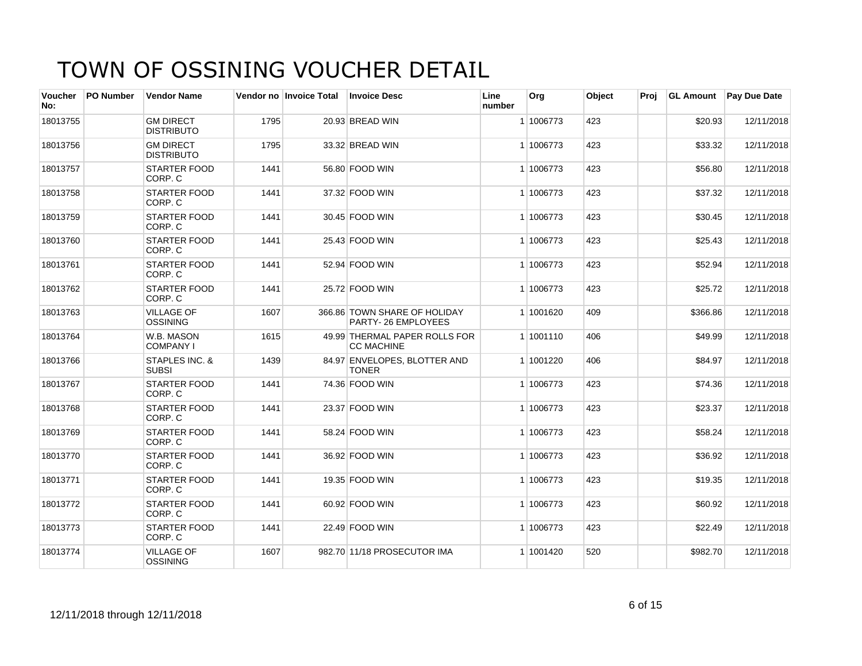| Voucher<br>No: | <b>PO Number</b> | <b>Vendor Name</b>                    |      | Vendor no Invoice Total | <b>Invoice Desc</b>                                | Line<br>number | Org       | Object | Proi |          | <b>GL Amount</b> Pay Due Date |
|----------------|------------------|---------------------------------------|------|-------------------------|----------------------------------------------------|----------------|-----------|--------|------|----------|-------------------------------|
| 18013755       |                  | <b>GM DIRECT</b><br><b>DISTRIBUTO</b> | 1795 |                         | 20.93 BREAD WIN                                    |                | 1 1006773 | 423    |      | \$20.93  | 12/11/2018                    |
| 18013756       |                  | <b>GM DIRECT</b><br><b>DISTRIBUTO</b> | 1795 |                         | 33.32 BREAD WIN                                    |                | 1 1006773 | 423    |      | \$33.32  | 12/11/2018                    |
| 18013757       |                  | STARTER FOOD<br>CORP. C               | 1441 |                         | 56.80 FOOD WIN                                     |                | 1 1006773 | 423    |      | \$56.80  | 12/11/2018                    |
| 18013758       |                  | <b>STARTER FOOD</b><br>CORP. C        | 1441 |                         | 37.32 FOOD WIN                                     |                | 1 1006773 | 423    |      | \$37.32  | 12/11/2018                    |
| 18013759       |                  | <b>STARTER FOOD</b><br>CORP. C        | 1441 |                         | 30.45 FOOD WIN                                     |                | 1 1006773 | 423    |      | \$30.45  | 12/11/2018                    |
| 18013760       |                  | <b>STARTER FOOD</b><br>CORP. C        | 1441 |                         | 25.43 FOOD WIN                                     |                | 1 1006773 | 423    |      | \$25.43  | 12/11/2018                    |
| 18013761       |                  | <b>STARTER FOOD</b><br>CORP. C        | 1441 |                         | 52.94 FOOD WIN                                     |                | 1 1006773 | 423    |      | \$52.94  | 12/11/2018                    |
| 18013762       |                  | <b>STARTER FOOD</b><br>CORP. C        | 1441 |                         | 25.72 FOOD WIN                                     |                | 1 1006773 | 423    |      | \$25.72  | 12/11/2018                    |
| 18013763       |                  | <b>VILLAGE OF</b><br>OSSINING         | 1607 |                         | 366.86 TOWN SHARE OF HOLIDAY<br>PARTY-26 EMPLOYEES |                | 1 1001620 | 409    |      | \$366.86 | 12/11/2018                    |
| 18013764       |                  | W.B. MASON<br><b>COMPANY I</b>        | 1615 |                         | 49.99 THERMAL PAPER ROLLS FOR<br><b>CC MACHINE</b> |                | 1 1001110 | 406    |      | \$49.99  | 12/11/2018                    |
| 18013766       |                  | STAPLES INC. &<br><b>SUBSI</b>        | 1439 |                         | 84.97 ENVELOPES, BLOTTER AND<br><b>TONER</b>       |                | 1 1001220 | 406    |      | \$84.97  | 12/11/2018                    |
| 18013767       |                  | <b>STARTER FOOD</b><br>CORP. C        | 1441 |                         | 74.36 FOOD WIN                                     |                | 1 1006773 | 423    |      | \$74.36  | 12/11/2018                    |
| 18013768       |                  | STARTER FOOD<br>CORP. C               | 1441 |                         | 23.37 FOOD WIN                                     |                | 1 1006773 | 423    |      | \$23.37  | 12/11/2018                    |
| 18013769       |                  | <b>STARTER FOOD</b><br>CORP. C        | 1441 |                         | 58.24 FOOD WIN                                     |                | 1 1006773 | 423    |      | \$58.24  | 12/11/2018                    |
| 18013770       |                  | <b>STARTER FOOD</b><br>CORP. C        | 1441 |                         | 36.92 FOOD WIN                                     |                | 1 1006773 | 423    |      | \$36.92  | 12/11/2018                    |
| 18013771       |                  | <b>STARTER FOOD</b><br>CORP. C        | 1441 |                         | 19.35 FOOD WIN                                     |                | 1 1006773 | 423    |      | \$19.35  | 12/11/2018                    |
| 18013772       |                  | <b>STARTER FOOD</b><br>CORP. C        | 1441 |                         | 60.92 FOOD WIN                                     |                | 1 1006773 | 423    |      | \$60.92  | 12/11/2018                    |
| 18013773       |                  | <b>STARTER FOOD</b><br>CORP. C        | 1441 |                         | 22.49 FOOD WIN                                     |                | 1 1006773 | 423    |      | \$22.49  | 12/11/2018                    |
| 18013774       |                  | <b>VILLAGE OF</b><br><b>OSSINING</b>  | 1607 |                         | 982.70 11/18 PROSECUTOR IMA                        |                | 1 1001420 | 520    |      | \$982.70 | 12/11/2018                    |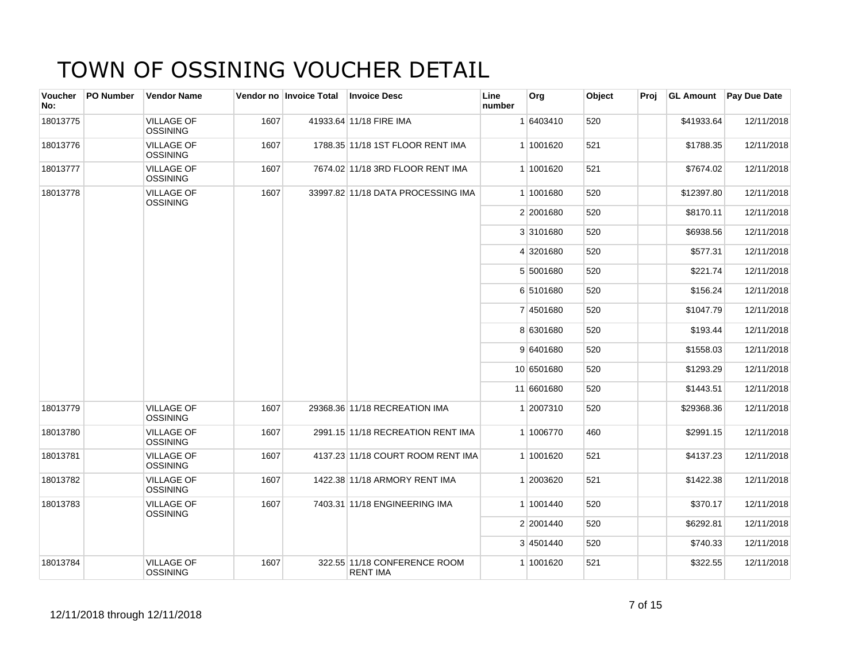| Voucher<br>No: | PO Number | <b>Vendor Name</b>                   |      | Vendor no Invoice Total | <b>Invoice Desc</b>                             | Line<br>number | Org        | Object | Proj | <b>GL Amount</b> | <b>Pay Due Date</b> |
|----------------|-----------|--------------------------------------|------|-------------------------|-------------------------------------------------|----------------|------------|--------|------|------------------|---------------------|
| 18013775       |           | <b>VILLAGE OF</b><br><b>OSSINING</b> | 1607 |                         | 41933.64 11/18 FIRE IMA                         |                | 1 6403410  | 520    |      | \$41933.64       | 12/11/2018          |
| 18013776       |           | <b>VILLAGE OF</b><br><b>OSSINING</b> | 1607 |                         | 1788.35 11/18 1ST FLOOR RENT IMA                |                | 1 1001620  | 521    |      | \$1788.35        | 12/11/2018          |
| 18013777       |           | <b>VILLAGE OF</b><br><b>OSSINING</b> | 1607 |                         | 7674.02 11/18 3RD FLOOR RENT IMA                |                | 1 1001620  | 521    |      | \$7674.02        | 12/11/2018          |
| 18013778       |           | <b>VILLAGE OF</b><br>OSSINING        | 1607 |                         | 33997.82 11/18 DATA PROCESSING IMA              |                | 1 1001680  | 520    |      | \$12397.80       | 12/11/2018          |
|                |           |                                      |      |                         |                                                 |                | 2 2001680  | 520    |      | \$8170.11        | 12/11/2018          |
|                |           |                                      |      |                         |                                                 |                | 3 3101680  | 520    |      | \$6938.56        | 12/11/2018          |
|                |           |                                      |      |                         |                                                 |                | 4 3201680  | 520    |      | \$577.31         | 12/11/2018          |
|                |           |                                      |      |                         |                                                 |                | 5 5001680  | 520    |      | \$221.74         | 12/11/2018          |
|                |           |                                      |      |                         |                                                 |                | 6 5101680  | 520    |      | \$156.24         | 12/11/2018          |
|                |           |                                      |      |                         |                                                 |                | 7 4501680  | 520    |      | \$1047.79        | 12/11/2018          |
|                |           |                                      |      |                         |                                                 |                | 8 6301680  | 520    |      | \$193.44         | 12/11/2018          |
|                |           |                                      |      |                         |                                                 |                | 9 6401680  | 520    |      | \$1558.03        | 12/11/2018          |
|                |           |                                      |      |                         |                                                 |                | 10 6501680 | 520    |      | \$1293.29        | 12/11/2018          |
|                |           |                                      |      |                         |                                                 |                | 11 6601680 | 520    |      | \$1443.51        | 12/11/2018          |
| 18013779       |           | <b>VILLAGE OF</b><br><b>OSSINING</b> | 1607 |                         | 29368.36 11/18 RECREATION IMA                   |                | 1 2007310  | 520    |      | \$29368.36       | 12/11/2018          |
| 18013780       |           | <b>VILLAGE OF</b><br><b>OSSINING</b> | 1607 |                         | 2991.15 11/18 RECREATION RENT IMA               |                | 1 1006770  | 460    |      | \$2991.15        | 12/11/2018          |
| 18013781       |           | <b>VILLAGE OF</b><br>OSSINING        | 1607 |                         | 4137.23 11/18 COURT ROOM RENT IMA               |                | 1 1001620  | 521    |      | \$4137.23        | 12/11/2018          |
| 18013782       |           | <b>VILLAGE OF</b><br><b>OSSINING</b> | 1607 |                         | 1422.38 11/18 ARMORY RENT IMA                   |                | 1 2003620  | 521    |      | \$1422.38        | 12/11/2018          |
| 18013783       |           | <b>VILLAGE OF</b><br><b>OSSINING</b> | 1607 |                         | 7403.31 11/18 ENGINEERING IMA                   |                | 1 1001440  | 520    |      | \$370.17         | 12/11/2018          |
|                |           |                                      |      |                         |                                                 |                | 2 2001440  | 520    |      | \$6292.81        | 12/11/2018          |
|                |           |                                      |      |                         |                                                 |                | 3 4501440  | 520    |      | \$740.33         | 12/11/2018          |
| 18013784       |           | <b>VILLAGE OF</b><br><b>OSSINING</b> | 1607 |                         | 322.55 11/18 CONFERENCE ROOM<br><b>RENT IMA</b> |                | 1 1001620  | 521    |      | \$322.55         | 12/11/2018          |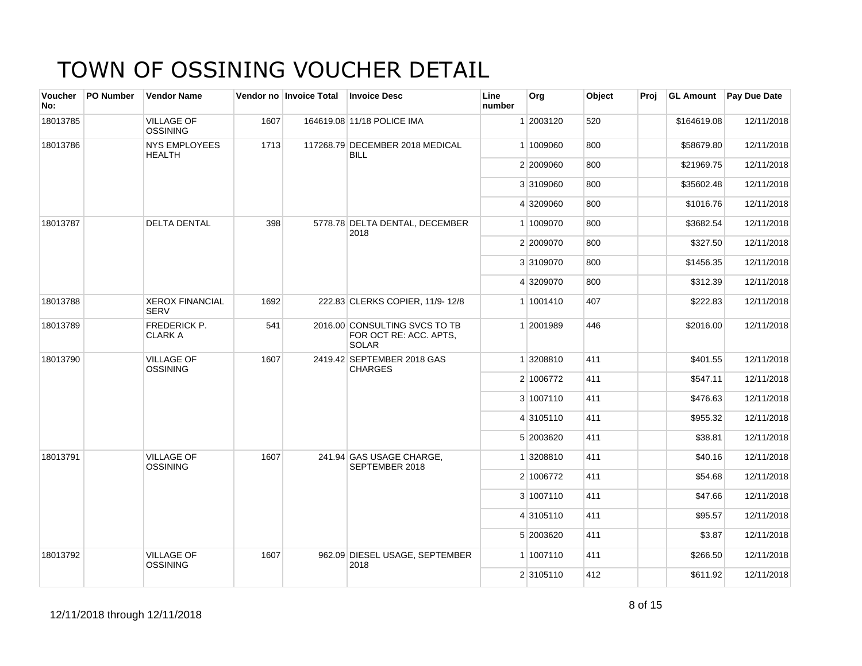| Voucher<br>No: | <b>PO Number</b> | <b>Vendor Name</b>                    |      | Vendor no Invoice Total | <b>Invoice Desc</b>                                                     | Line<br>number | Org       | Object | Proj | <b>GL Amount</b> | Pay Due Date |
|----------------|------------------|---------------------------------------|------|-------------------------|-------------------------------------------------------------------------|----------------|-----------|--------|------|------------------|--------------|
| 18013785       |                  | <b>VILLAGE OF</b><br>OSSINING         | 1607 |                         | 164619.08 11/18 POLICE IMA                                              |                | 1 2003120 | 520    |      | \$164619.08      | 12/11/2018   |
| 18013786       |                  | <b>NYS EMPLOYEES</b><br><b>HEALTH</b> | 1713 |                         | 117268.79 DECEMBER 2018 MEDICAL<br><b>BILL</b>                          |                | 1 1009060 | 800    |      | \$58679.80       | 12/11/2018   |
|                |                  |                                       |      |                         |                                                                         |                | 2 2009060 | 800    |      | \$21969.75       | 12/11/2018   |
|                |                  |                                       |      |                         |                                                                         |                | 3 3109060 | 800    |      | \$35602.48       | 12/11/2018   |
|                |                  |                                       |      |                         |                                                                         |                | 4 3209060 | 800    |      | \$1016.76        | 12/11/2018   |
| 18013787       |                  | <b>DELTA DENTAL</b>                   | 398  |                         | 5778.78 DELTA DENTAL, DECEMBER<br>2018                                  |                | 1 1009070 | 800    |      | \$3682.54        | 12/11/2018   |
|                |                  |                                       |      |                         |                                                                         |                | 2 2009070 | 800    |      | \$327.50         | 12/11/2018   |
|                |                  |                                       |      |                         |                                                                         |                | 3 3109070 | 800    |      | \$1456.35        | 12/11/2018   |
|                |                  |                                       |      |                         |                                                                         |                | 4 3209070 | 800    |      | \$312.39         | 12/11/2018   |
| 18013788       |                  | <b>XEROX FINANCIAL</b><br><b>SERV</b> | 1692 |                         | 222.83 CLERKS COPIER, 11/9-12/8                                         |                | 1 1001410 | 407    |      | \$222.83         | 12/11/2018   |
| 18013789       |                  | <b>FREDERICK P.</b><br><b>CLARK A</b> | 541  |                         | 2016.00 CONSULTING SVCS TO TB<br>FOR OCT RE: ACC. APTS,<br><b>SOLAR</b> |                | 1 2001989 | 446    |      | \$2016.00        | 12/11/2018   |
| 18013790       |                  | <b>VILLAGE OF</b><br><b>OSSINING</b>  | 1607 |                         | 2419.42 SEPTEMBER 2018 GAS<br><b>CHARGES</b>                            |                | 1 3208810 | 411    |      | \$401.55         | 12/11/2018   |
|                |                  |                                       |      |                         |                                                                         |                | 2 1006772 | 411    |      | \$547.11         | 12/11/2018   |
|                |                  |                                       |      |                         |                                                                         |                | 3 1007110 | 411    |      | \$476.63         | 12/11/2018   |
|                |                  |                                       |      |                         |                                                                         |                | 4 3105110 | 411    |      | \$955.32         | 12/11/2018   |
|                |                  |                                       |      |                         |                                                                         |                | 5 2003620 | 411    |      | \$38.81          | 12/11/2018   |
| 18013791       |                  | <b>VILLAGE OF</b><br><b>OSSINING</b>  | 1607 |                         | 241.94 GAS USAGE CHARGE,<br>SEPTEMBER 2018                              |                | 1 3208810 | 411    |      | \$40.16          | 12/11/2018   |
|                |                  |                                       |      |                         |                                                                         |                | 2 1006772 | 411    |      | \$54.68          | 12/11/2018   |
|                |                  |                                       |      |                         |                                                                         |                | 3 1007110 | 411    |      | \$47.66          | 12/11/2018   |
|                |                  |                                       |      |                         |                                                                         |                | 4 3105110 | 411    |      | \$95.57          | 12/11/2018   |
|                |                  |                                       |      |                         |                                                                         |                | 5 2003620 | 411    |      | \$3.87           | 12/11/2018   |
| 18013792       |                  | <b>VILLAGE OF</b><br>OSSINING         | 1607 |                         | 962.09 DIESEL USAGE, SEPTEMBER<br>2018                                  |                | 1 1007110 | 411    |      | \$266.50         | 12/11/2018   |
|                |                  |                                       |      |                         |                                                                         |                | 2 3105110 | 412    |      | \$611.92         | 12/11/2018   |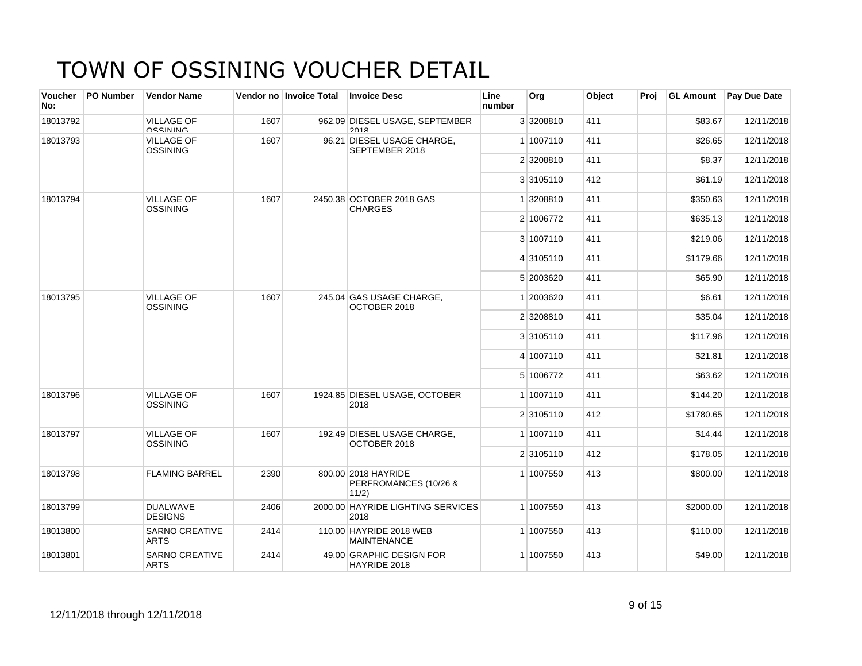| <b>Voucher</b><br>No: | <b>PO Number</b> | <b>Vendor Name</b>                    |      | Vendor no Invoice Total | <b>Invoice Desc</b>                                   | Line<br>number | Org       | Object | Proi | <b>GL Amount</b>    | <b>Pay Due Date</b> |
|-----------------------|------------------|---------------------------------------|------|-------------------------|-------------------------------------------------------|----------------|-----------|--------|------|---------------------|---------------------|
| 18013792              |                  | <b>VILLAGE OF</b><br><b>UGGININIO</b> | 1607 |                         | 962.09 DIESEL USAGE, SEPTEMBER<br>2018                |                | 3 3208810 | 411    |      | \$83.67             | 12/11/2018          |
| 18013793              |                  | <b>VILLAGE OF</b><br>OSSINING         | 1607 |                         | 96.21 DIESEL USAGE CHARGE,<br>SEPTEMBER 2018          |                | 1 1007110 | 411    |      | \$26.65             | 12/11/2018          |
|                       |                  |                                       |      |                         |                                                       |                | 2 3208810 | 411    |      | \$8.37              | 12/11/2018          |
|                       |                  |                                       |      |                         |                                                       |                | 3 3105110 | 412    |      | \$61.19             | 12/11/2018          |
| 18013794              |                  | <b>VILLAGE OF</b><br>OSSINING         | 1607 |                         | 2450.38 OCTOBER 2018 GAS<br><b>CHARGES</b>            |                | 1 3208810 | 411    |      | \$350.63            | 12/11/2018          |
|                       |                  |                                       |      |                         |                                                       |                | 2 1006772 | 411    |      | \$635.13            | 12/11/2018          |
|                       |                  |                                       |      |                         |                                                       |                | 3 1007110 | 411    |      | \$219.06            | 12/11/2018          |
|                       |                  |                                       |      |                         |                                                       |                | 4 3105110 | 411    |      | \$1179.66           | 12/11/2018          |
|                       |                  |                                       |      |                         |                                                       |                | 5 2003620 | 411    |      | \$65.90             | 12/11/2018          |
| 18013795              |                  | <b>VILLAGE OF</b><br><b>OSSINING</b>  | 1607 |                         | 245.04 GAS USAGE CHARGE,<br>OCTOBER 2018              |                | 1 2003620 | 411    |      | \$6.61              | 12/11/2018          |
|                       |                  |                                       |      |                         |                                                       |                | 2 3208810 | 411    |      | \$35.04             | 12/11/2018          |
|                       |                  |                                       |      |                         |                                                       |                | 3 3105110 | 411    |      | \$117.96<br>\$21.81 | 12/11/2018          |
|                       |                  |                                       |      |                         |                                                       |                | 4 1007110 | 411    |      |                     | 12/11/2018          |
|                       |                  |                                       |      |                         |                                                       |                | 5 1006772 | 411    |      | \$63.62             | 12/11/2018          |
| 18013796              |                  | <b>VILLAGE OF</b><br><b>OSSINING</b>  | 1607 |                         | 1924.85 DIESEL USAGE, OCTOBER<br>2018                 |                | 1 1007110 | 411    |      | \$144.20            | 12/11/2018          |
|                       |                  |                                       |      |                         |                                                       |                | 2 3105110 | 412    |      | \$1780.65           | 12/11/2018          |
| 18013797              |                  | <b>VILLAGE OF</b><br><b>OSSINING</b>  | 1607 |                         | 192.49 DIESEL USAGE CHARGE,<br>OCTOBER 2018           |                | 1 1007110 | 411    |      | \$14.44             | 12/11/2018          |
|                       |                  |                                       |      |                         |                                                       |                | 2 3105110 | 412    |      | \$178.05            | 12/11/2018          |
| 18013798              |                  | <b>FLAMING BARREL</b>                 | 2390 |                         | 800.00 2018 HAYRIDE<br>PERFROMANCES (10/26 &<br>11/2) |                | 1 1007550 | 413    |      | \$800.00            | 12/11/2018          |
| 18013799              |                  | <b>DUALWAVE</b><br><b>DESIGNS</b>     | 2406 |                         | 2000.00 HAYRIDE LIGHTING SERVICES<br>2018             |                | 1 1007550 | 413    |      | \$2000.00           | 12/11/2018          |
| 18013800              |                  | <b>SARNO CREATIVE</b><br><b>ARTS</b>  | 2414 |                         | 110.00 HAYRIDE 2018 WEB<br><b>MAINTENANCE</b>         |                | 1 1007550 | 413    |      | \$110.00            | 12/11/2018          |
| 18013801              |                  | <b>SARNO CREATIVE</b><br><b>ARTS</b>  | 2414 |                         | 49.00 GRAPHIC DESIGN FOR<br>HAYRIDE 2018              |                | 1 1007550 | 413    |      | \$49.00             | 12/11/2018          |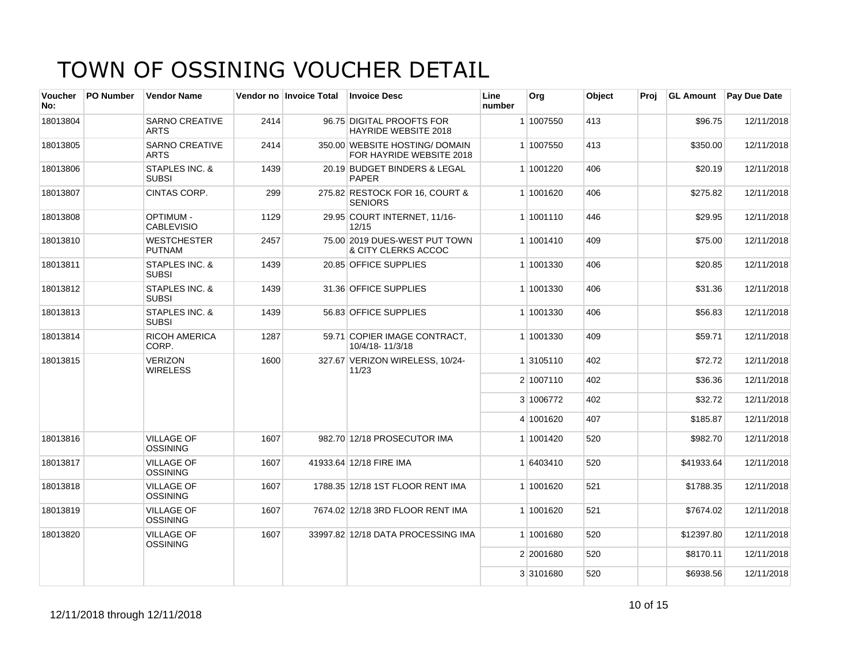| <b>Voucher</b><br>No: | <b>PO Number</b> | <b>Vendor Name</b>                        |      | Vendor no Invoice Total | <b>Invoice Desc</b>                                        | Line<br>number | Org       | Object | Proi | <b>GL Amount</b> | Pay Due Date |
|-----------------------|------------------|-------------------------------------------|------|-------------------------|------------------------------------------------------------|----------------|-----------|--------|------|------------------|--------------|
| 18013804              |                  | <b>SARNO CREATIVE</b><br><b>ARTS</b>      | 2414 |                         | 96.75 DIGITAL PROOFTS FOR<br><b>HAYRIDE WEBSITE 2018</b>   |                | 1 1007550 | 413    |      | \$96.75          | 12/11/2018   |
| 18013805              |                  | <b>SARNO CREATIVE</b><br><b>ARTS</b>      | 2414 |                         | 350.00 WEBSITE HOSTING/ DOMAIN<br>FOR HAYRIDE WEBSITE 2018 |                | 1 1007550 | 413    |      | \$350.00         | 12/11/2018   |
| 18013806              |                  | STAPLES INC. &<br><b>SUBSI</b>            | 1439 |                         | 20.19 BUDGET BINDERS & LEGAL<br><b>PAPER</b>               |                | 1 1001220 | 406    |      | \$20.19          | 12/11/2018   |
| 18013807              |                  | <b>CINTAS CORP.</b>                       | 299  |                         | 275.82 RESTOCK FOR 16, COURT &<br><b>SENIORS</b>           |                | 1 1001620 | 406    |      | \$275.82         | 12/11/2018   |
| 18013808              |                  | <b>OPTIMUM -</b><br><b>CABLEVISIO</b>     | 1129 |                         | 29.95 COURT INTERNET, 11/16-<br>12/15                      |                | 1 1001110 | 446    |      | \$29.95          | 12/11/2018   |
| 18013810              |                  | <b>WESTCHESTER</b><br><b>PUTNAM</b>       | 2457 |                         | 75.00 2019 DUES-WEST PUT TOWN<br>& CITY CLERKS ACCOC       |                | 1 1001410 | 409    |      | \$75.00          | 12/11/2018   |
| 18013811              |                  | STAPLES INC. &<br><b>SUBSI</b>            | 1439 |                         | 20.85 OFFICE SUPPLIES                                      |                | 1 1001330 | 406    |      | \$20.85          | 12/11/2018   |
| 18013812              |                  | STAPLES INC. &<br><b>SUBSI</b>            | 1439 |                         | 31.36 OFFICE SUPPLIES                                      |                | 1 1001330 | 406    |      | \$31.36          | 12/11/2018   |
| 18013813              |                  | <b>STAPLES INC. &amp;</b><br><b>SUBSI</b> | 1439 |                         | 56.83 OFFICE SUPPLIES                                      |                | 1 1001330 | 406    |      | \$56.83          | 12/11/2018   |
| 18013814              |                  | <b>RICOH AMERICA</b><br>CORP.             | 1287 |                         | 59.71 COPIER IMAGE CONTRACT,<br>10/4/18-11/3/18            |                | 1 1001330 | 409    |      | \$59.71          | 12/11/2018   |
| 18013815              |                  | <b>VERIZON</b><br><b>WIRELESS</b>         | 1600 |                         | 327.67 VERIZON WIRELESS, 10/24-<br>11/23                   |                | 1 3105110 | 402    |      | \$72.72          | 12/11/2018   |
|                       |                  |                                           |      |                         |                                                            |                | 2 1007110 | 402    |      | \$36.36          | 12/11/2018   |
|                       |                  |                                           |      |                         |                                                            |                | 3 1006772 | 402    |      | \$32.72          | 12/11/2018   |
|                       |                  |                                           |      |                         |                                                            |                | 4 1001620 | 407    |      | \$185.87         | 12/11/2018   |
| 18013816              |                  | <b>VILLAGE OF</b><br><b>OSSINING</b>      | 1607 |                         | 982.70 12/18 PROSECUTOR IMA                                |                | 1 1001420 | 520    |      | \$982.70         | 12/11/2018   |
| 18013817              |                  | <b>VILLAGE OF</b><br><b>OSSINING</b>      | 1607 |                         | 41933.64 12/18 FIRE IMA                                    |                | 1 6403410 | 520    |      | \$41933.64       | 12/11/2018   |
| 18013818              |                  | <b>VILLAGE OF</b><br><b>OSSINING</b>      | 1607 |                         | 1788.35 12/18 1ST FLOOR RENT IMA                           |                | 1 1001620 | 521    |      | \$1788.35        | 12/11/2018   |
| 18013819              |                  | <b>VILLAGE OF</b><br><b>OSSINING</b>      | 1607 |                         | 7674.02 12/18 3RD FLOOR RENT IMA                           |                | 1 1001620 | 521    |      | \$7674.02        | 12/11/2018   |
| 18013820              |                  | <b>VILLAGE OF</b><br>OSSINING             | 1607 |                         | 33997.82 12/18 DATA PROCESSING IMA                         |                | 1 1001680 | 520    |      | \$12397.80       | 12/11/2018   |
|                       |                  |                                           |      |                         |                                                            |                | 2 2001680 | 520    |      | \$8170.11        | 12/11/2018   |
|                       |                  |                                           |      |                         |                                                            |                | 3 3101680 | 520    |      | \$6938.56        | 12/11/2018   |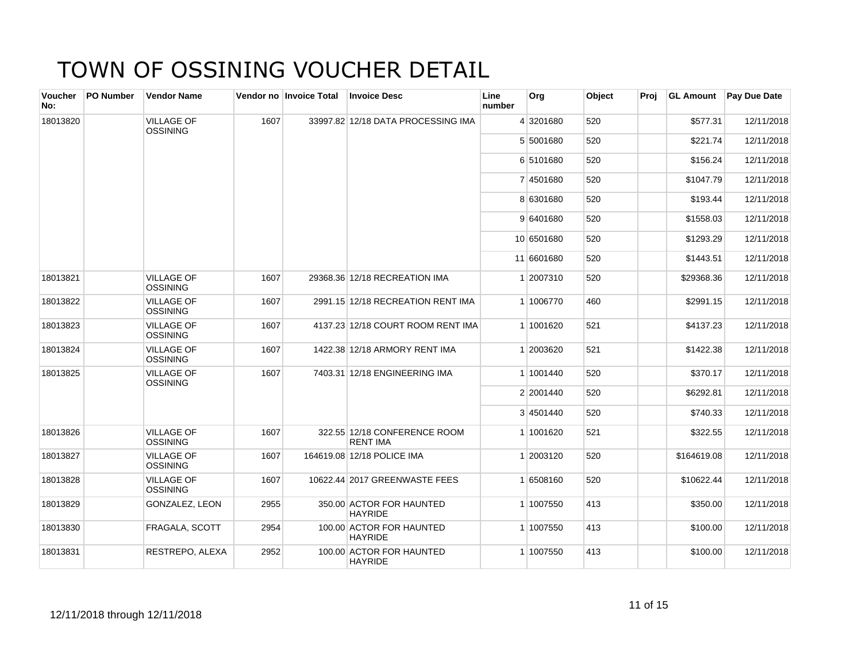| <b>Voucher</b><br>No: | <b>PO Number</b> | <b>Vendor Name</b>                   |      | Vendor no Invoice Total | <b>Invoice Desc</b>                             | Line<br>number | Org        | Object | Proj | <b>GL Amount</b> | <b>Pay Due Date</b> |
|-----------------------|------------------|--------------------------------------|------|-------------------------|-------------------------------------------------|----------------|------------|--------|------|------------------|---------------------|
| 18013820              |                  | <b>VILLAGE OF</b><br><b>OSSINING</b> | 1607 |                         | 33997.82 12/18 DATA PROCESSING IMA              |                | 4 3201680  | 520    |      | \$577.31         | 12/11/2018          |
|                       |                  |                                      |      |                         |                                                 |                | 5 5001680  | 520    |      | \$221.74         | 12/11/2018          |
|                       |                  |                                      |      |                         |                                                 |                | 6 5101680  | 520    |      | \$156.24         | 12/11/2018          |
|                       |                  |                                      |      |                         |                                                 |                | 7 4501680  | 520    |      | \$1047.79        | 12/11/2018          |
|                       |                  |                                      |      |                         |                                                 |                | 8 6301680  | 520    |      | \$193.44         | 12/11/2018          |
|                       |                  |                                      |      |                         |                                                 |                | 9 6401680  | 520    |      | \$1558.03        | 12/11/2018          |
|                       |                  |                                      |      |                         |                                                 |                | 10 6501680 | 520    |      | \$1293.29        | 12/11/2018          |
|                       |                  |                                      |      |                         |                                                 |                | 11 6601680 | 520    |      | \$1443.51        | 12/11/2018          |
| 18013821              |                  | <b>VILLAGE OF</b><br><b>OSSINING</b> | 1607 |                         | 29368.36 12/18 RECREATION IMA                   |                | 1 2007310  | 520    |      | \$29368.36       | 12/11/2018          |
| 18013822              |                  | <b>VILLAGE OF</b><br><b>OSSINING</b> | 1607 |                         | 2991.15 12/18 RECREATION RENT IMA               |                | 1 1006770  | 460    |      | \$2991.15        | 12/11/2018          |
| 18013823              |                  | <b>VILLAGE OF</b><br><b>OSSINING</b> | 1607 |                         | 4137.23 12/18 COURT ROOM RENT IMA               |                | 1 1001620  | 521    |      | \$4137.23        | 12/11/2018          |
| 18013824              |                  | <b>VILLAGE OF</b><br><b>OSSINING</b> | 1607 |                         | 1422.38 12/18 ARMORY RENT IMA                   |                | 1 2003620  | 521    |      | \$1422.38        | 12/11/2018          |
| 18013825              |                  | <b>VILLAGE OF</b><br><b>OSSINING</b> | 1607 |                         | 7403.31 12/18 ENGINEERING IMA                   |                | 1 1001440  | 520    |      | \$370.17         | 12/11/2018          |
|                       |                  |                                      |      |                         |                                                 |                | 2 2001440  | 520    |      | \$6292.81        | 12/11/2018          |
|                       |                  |                                      |      |                         |                                                 |                | 3 4501440  | 520    |      | \$740.33         | 12/11/2018          |
| 18013826              |                  | <b>VILLAGE OF</b><br><b>OSSINING</b> | 1607 |                         | 322.55 12/18 CONFERENCE ROOM<br><b>RENT IMA</b> |                | 1 1001620  | 521    |      | \$322.55         | 12/11/2018          |
| 18013827              |                  | <b>VILLAGE OF</b><br><b>OSSINING</b> | 1607 |                         | 164619.08 12/18 POLICE IMA                      |                | 1 2003120  | 520    |      | \$164619.08      | 12/11/2018          |
| 18013828              |                  | <b>VILLAGE OF</b><br><b>OSSINING</b> | 1607 |                         | 10622.44 2017 GREENWASTE FEES                   |                | 1 6508160  | 520    |      | \$10622.44       | 12/11/2018          |
| 18013829              |                  | GONZALEZ, LEON                       | 2955 |                         | 350.00 ACTOR FOR HAUNTED<br><b>HAYRIDE</b>      |                | 1 1007550  | 413    |      | \$350.00         | 12/11/2018          |
| 18013830              |                  | FRAGALA, SCOTT                       | 2954 |                         | 100.00 ACTOR FOR HAUNTED<br><b>HAYRIDE</b>      |                | 1 1007550  | 413    |      | \$100.00         | 12/11/2018          |
| 18013831              |                  | RESTREPO, ALEXA                      | 2952 |                         | 100.00 ACTOR FOR HAUNTED<br><b>HAYRIDE</b>      |                | 1 1007550  | 413    |      | \$100.00         | 12/11/2018          |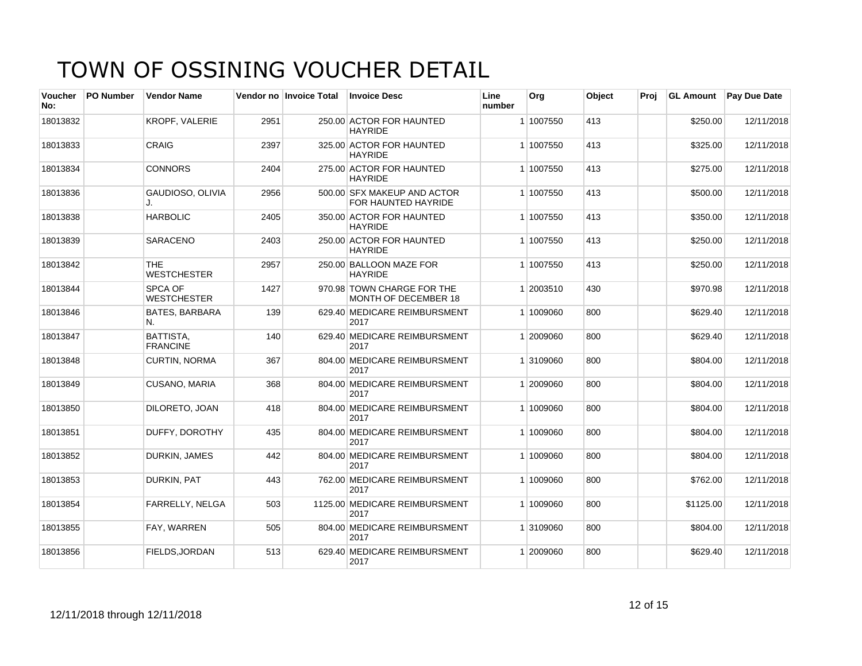| Voucher<br>No: | <b>PO Number</b> | <b>Vendor Name</b>               |      | Vendor no Invoice Total | <b>Invoice Desc</b>                                | Line<br>number | Org       | Object | Proi | <b>GL Amount</b> | <b>Pay Due Date</b> |
|----------------|------------------|----------------------------------|------|-------------------------|----------------------------------------------------|----------------|-----------|--------|------|------------------|---------------------|
| 18013832       |                  | <b>KROPF, VALERIE</b>            | 2951 |                         | 250.00 ACTOR FOR HAUNTED<br><b>HAYRIDE</b>         |                | 1 1007550 | 413    |      | \$250.00         | 12/11/2018          |
| 18013833       |                  | <b>CRAIG</b>                     | 2397 |                         | 325.00 ACTOR FOR HAUNTED<br><b>HAYRIDE</b>         |                | 1 1007550 | 413    |      | \$325.00         | 12/11/2018          |
| 18013834       |                  | <b>CONNORS</b>                   | 2404 |                         | 275.00 ACTOR FOR HAUNTED<br><b>HAYRIDE</b>         |                | 1 1007550 | 413    |      | \$275.00         | 12/11/2018          |
| 18013836       |                  | GAUDIOSO, OLIVIA                 | 2956 |                         | 500.00 SFX MAKEUP AND ACTOR<br>FOR HAUNTED HAYRIDE |                | 1 1007550 | 413    |      | \$500.00         | 12/11/2018          |
| 18013838       |                  | <b>HARBOLIC</b>                  | 2405 |                         | 350.00 ACTOR FOR HAUNTED<br><b>HAYRIDE</b>         |                | 1 1007550 | 413    |      | \$350.00         | 12/11/2018          |
| 18013839       |                  | <b>SARACENO</b>                  | 2403 |                         | 250.00 ACTOR FOR HAUNTED<br><b>HAYRIDE</b>         |                | 1 1007550 | 413    |      | \$250.00         | 12/11/2018          |
| 18013842       |                  | <b>THE</b><br><b>WESTCHESTER</b> | 2957 |                         | 250.00 BALLOON MAZE FOR<br><b>HAYRIDE</b>          |                | 1 1007550 | 413    |      | \$250.00         | 12/11/2018          |
| 18013844       |                  | SPCA OF<br><b>WESTCHESTER</b>    | 1427 |                         | 970.98 TOWN CHARGE FOR THE<br>MONTH OF DECEMBER 18 |                | 1 2003510 | 430    |      | \$970.98         | 12/11/2018          |
| 18013846       |                  | <b>BATES, BARBARA</b><br>N.      | 139  |                         | 629.40 MEDICARE REIMBURSMENT<br>2017               |                | 1 1009060 | 800    |      | \$629.40         | 12/11/2018          |
| 18013847       |                  | BATTISTA,<br><b>FRANCINE</b>     | 140  |                         | 629.40 MEDICARE REIMBURSMENT<br>2017               |                | 1 2009060 | 800    |      | \$629.40         | 12/11/2018          |
| 18013848       |                  | <b>CURTIN, NORMA</b>             | 367  |                         | 804.00 MEDICARE REIMBURSMENT<br>2017               |                | 1 3109060 | 800    |      | \$804.00         | 12/11/2018          |
| 18013849       |                  | CUSANO, MARIA                    | 368  |                         | 804.00 MEDICARE REIMBURSMENT<br>2017               |                | 1 2009060 | 800    |      | \$804.00         | 12/11/2018          |
| 18013850       |                  | <b>DILORETO, JOAN</b>            | 418  |                         | 804.00 MEDICARE REIMBURSMENT<br>2017               |                | 1 1009060 | 800    |      | \$804.00         | 12/11/2018          |
| 18013851       |                  | DUFFY, DOROTHY                   | 435  |                         | 804.00 MEDICARE REIMBURSMENT<br>2017               |                | 1 1009060 | 800    |      | \$804.00         | 12/11/2018          |
| 18013852       |                  | <b>DURKIN, JAMES</b>             | 442  |                         | 804.00 MEDICARE REIMBURSMENT<br>2017               |                | 1 1009060 | 800    |      | \$804.00         | 12/11/2018          |
| 18013853       |                  | DURKIN, PAT                      | 443  |                         | 762.00 MEDICARE REIMBURSMENT<br>2017               |                | 1 1009060 | 800    |      | \$762.00         | 12/11/2018          |
| 18013854       |                  | FARRELLY, NELGA                  | 503  |                         | 1125.00 MEDICARE REIMBURSMENT<br>2017              |                | 1 1009060 | 800    |      | \$1125.00        | 12/11/2018          |
| 18013855       |                  | FAY, WARREN                      | 505  |                         | 804.00 MEDICARE REIMBURSMENT<br>2017               |                | 1 3109060 | 800    |      | \$804.00         | 12/11/2018          |
| 18013856       |                  | FIELDS, JORDAN                   | 513  |                         | 629.40 MEDICARE REIMBURSMENT<br>2017               |                | 1 2009060 | 800    |      | \$629.40         | 12/11/2018          |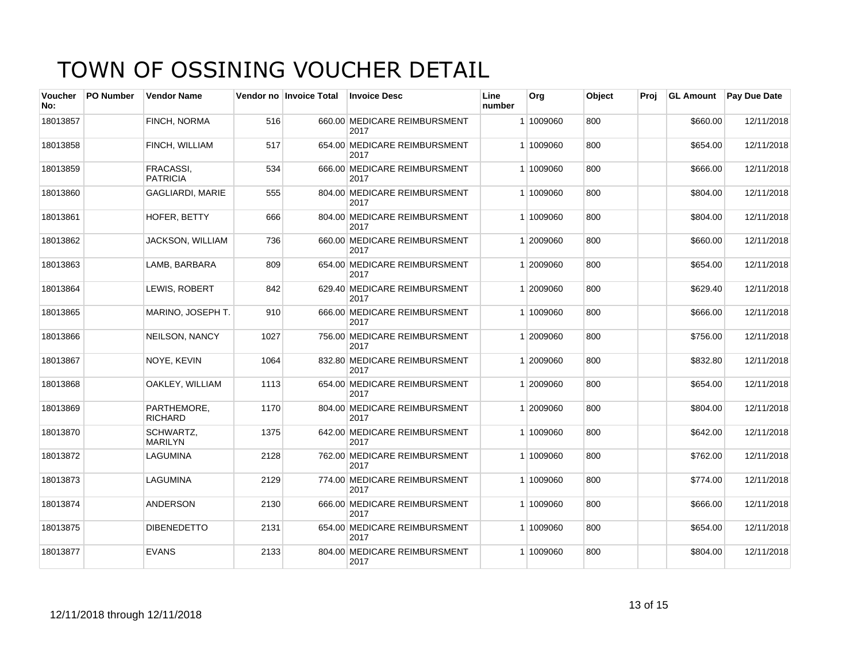| Voucher<br>No: | <b>PO Number</b> | <b>Vendor Name</b>                  |      | Vendor no Invoice Total | <b>Invoice Desc</b>                  | Line<br>number | Org       | Object | Proi | <b>GL Amount</b> | <b>Pay Due Date</b> |
|----------------|------------------|-------------------------------------|------|-------------------------|--------------------------------------|----------------|-----------|--------|------|------------------|---------------------|
| 18013857       |                  | FINCH, NORMA                        | 516  |                         | 660.00 MEDICARE REIMBURSMENT<br>2017 |                | 1 1009060 | 800    |      | \$660.00         | 12/11/2018          |
| 18013858       |                  | FINCH, WILLIAM                      | 517  |                         | 654.00 MEDICARE REIMBURSMENT<br>2017 |                | 1 1009060 | 800    |      | \$654.00         | 12/11/2018          |
| 18013859       |                  | <b>FRACASSI.</b><br><b>PATRICIA</b> | 534  |                         | 666.00 MEDICARE REIMBURSMENT<br>2017 |                | 1 1009060 | 800    |      | \$666.00         | 12/11/2018          |
| 18013860       |                  | <b>GAGLIARDI, MARIE</b>             | 555  |                         | 804.00 MEDICARE REIMBURSMENT<br>2017 |                | 1 1009060 | 800    |      | \$804.00         | 12/11/2018          |
| 18013861       |                  | HOFER, BETTY                        | 666  |                         | 804.00 MEDICARE REIMBURSMENT<br>2017 |                | 1 1009060 | 800    |      | \$804.00         | 12/11/2018          |
| 18013862       |                  | JACKSON, WILLIAM                    | 736  |                         | 660.00 MEDICARE REIMBURSMENT<br>2017 |                | 1 2009060 | 800    |      | \$660.00         | 12/11/2018          |
| 18013863       |                  | LAMB, BARBARA                       | 809  |                         | 654.00 MEDICARE REIMBURSMENT<br>2017 |                | 1 2009060 | 800    |      | \$654.00         | 12/11/2018          |
| 18013864       |                  | LEWIS, ROBERT                       | 842  |                         | 629.40 MEDICARE REIMBURSMENT<br>2017 |                | 1 2009060 | 800    |      | \$629.40         | 12/11/2018          |
| 18013865       |                  | MARINO, JOSEPH T.                   | 910  |                         | 666.00 MEDICARE REIMBURSMENT<br>2017 |                | 1 1009060 | 800    |      | \$666.00         | 12/11/2018          |
| 18013866       |                  | <b>NEILSON, NANCY</b>               | 1027 |                         | 756.00 MEDICARE REIMBURSMENT<br>2017 |                | 1 2009060 | 800    |      | \$756.00         | 12/11/2018          |
| 18013867       |                  | NOYE, KEVIN                         | 1064 |                         | 832.80 MEDICARE REIMBURSMENT<br>2017 |                | 1 2009060 | 800    |      | \$832.80         | 12/11/2018          |
| 18013868       |                  | OAKLEY, WILLIAM                     | 1113 |                         | 654.00 MEDICARE REIMBURSMENT<br>2017 |                | 1 2009060 | 800    |      | \$654.00         | 12/11/2018          |
| 18013869       |                  | PARTHEMORE,<br><b>RICHARD</b>       | 1170 |                         | 804.00 MEDICARE REIMBURSMENT<br>2017 |                | 1 2009060 | 800    |      | \$804.00         | 12/11/2018          |
| 18013870       |                  | SCHWARTZ.<br><b>MARILYN</b>         | 1375 |                         | 642.00 MEDICARE REIMBURSMENT<br>2017 |                | 1 1009060 | 800    |      | \$642.00         | 12/11/2018          |
| 18013872       |                  | LAGUMINA                            | 2128 |                         | 762.00 MEDICARE REIMBURSMENT<br>2017 |                | 1 1009060 | 800    |      | \$762.00         | 12/11/2018          |
| 18013873       |                  | LAGUMINA                            | 2129 |                         | 774.00 MEDICARE REIMBURSMENT<br>2017 |                | 1 1009060 | 800    |      | \$774.00         | 12/11/2018          |
| 18013874       |                  | <b>ANDERSON</b>                     | 2130 |                         | 666.00 MEDICARE REIMBURSMENT<br>2017 |                | 1 1009060 | 800    |      | \$666.00         | 12/11/2018          |
| 18013875       |                  | <b>DIBENEDETTO</b>                  | 2131 |                         | 654.00 MEDICARE REIMBURSMENT<br>2017 |                | 1 1009060 | 800    |      | \$654.00         | 12/11/2018          |
| 18013877       |                  | <b>EVANS</b>                        | 2133 |                         | 804.00 MEDICARE REIMBURSMENT<br>2017 |                | 1 1009060 | 800    |      | \$804.00         | 12/11/2018          |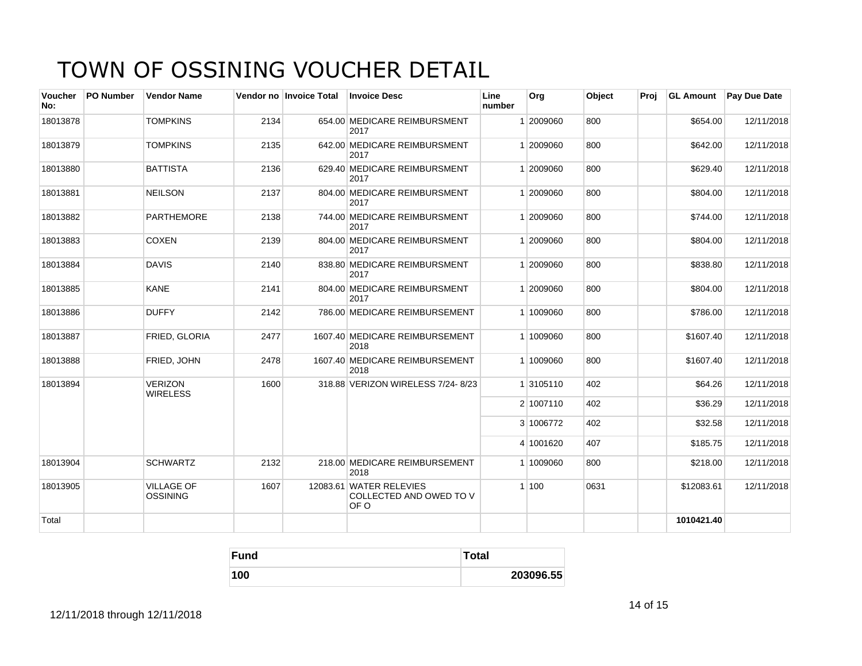| Voucher<br>No: | PO Number | <b>Vendor Name</b>                   |      | Vendor no Invoice Total | <b>Invoice Desc</b>                                        | Line<br>number | Org       | Object | Proj | <b>GL Amount</b> | Pay Due Date |
|----------------|-----------|--------------------------------------|------|-------------------------|------------------------------------------------------------|----------------|-----------|--------|------|------------------|--------------|
| 18013878       |           | <b>TOMPKINS</b>                      | 2134 |                         | 654.00 MEDICARE REIMBURSMENT<br>2017                       |                | 2009060   | 800    |      | \$654.00         | 12/11/2018   |
| 18013879       |           | <b>TOMPKINS</b>                      | 2135 |                         | 642.00 MEDICARE REIMBURSMENT<br>2017                       |                | 1 2009060 | 800    |      | \$642.00         | 12/11/2018   |
| 18013880       |           | <b>BATTISTA</b>                      | 2136 |                         | 629.40 MEDICARE REIMBURSMENT<br>2017                       |                | 1 2009060 | 800    |      | \$629.40         | 12/11/2018   |
| 18013881       |           | <b>NEILSON</b>                       | 2137 |                         | 804.00 MEDICARE REIMBURSMENT<br>2017                       |                | 1 2009060 | 800    |      | \$804.00         | 12/11/2018   |
| 18013882       |           | <b>PARTHEMORE</b>                    | 2138 |                         | 744.00 MEDICARE REIMBURSMENT<br>2017                       |                | 1 2009060 | 800    |      | \$744.00         | 12/11/2018   |
| 18013883       |           | <b>COXEN</b>                         | 2139 |                         | 804.00 MEDICARE REIMBURSMENT<br>2017                       |                | 1 2009060 | 800    |      | \$804.00         | 12/11/2018   |
| 18013884       |           | <b>DAVIS</b>                         | 2140 |                         | 838.80 MEDICARE REIMBURSMENT<br>2017                       |                | 1 2009060 | 800    |      | \$838.80         | 12/11/2018   |
| 18013885       |           | <b>KANE</b>                          | 2141 |                         | 804.00 MEDICARE REIMBURSMENT<br>2017                       |                | 1 2009060 | 800    |      | \$804.00         | 12/11/2018   |
| 18013886       |           | <b>DUFFY</b>                         | 2142 |                         | 786.00 MEDICARE REIMBURSEMENT                              |                | 1 1009060 | 800    |      | \$786.00         | 12/11/2018   |
| 18013887       |           | FRIED, GLORIA                        | 2477 |                         | 1607.40 MEDICARE REIMBURSEMENT<br>2018                     |                | 1 1009060 | 800    |      | \$1607.40        | 12/11/2018   |
| 18013888       |           | FRIED, JOHN                          | 2478 |                         | 1607.40 MEDICARE REIMBURSEMENT<br>2018                     |                | 1 1009060 | 800    |      | \$1607.40        | 12/11/2018   |
| 18013894       |           | <b>VERIZON</b><br><b>WIRELESS</b>    | 1600 |                         | 318.88 VERIZON WIRELESS 7/24-8/23                          |                | 1 3105110 | 402    |      | \$64.26          | 12/11/2018   |
|                |           |                                      |      |                         |                                                            |                | 2 1007110 | 402    |      | \$36.29          | 12/11/2018   |
|                |           |                                      |      |                         |                                                            |                | 3 1006772 | 402    |      | \$32.58          | 12/11/2018   |
|                |           |                                      |      |                         |                                                            |                | 4 1001620 | 407    |      | \$185.75         | 12/11/2018   |
| 18013904       |           | <b>SCHWARTZ</b>                      | 2132 |                         | 218.00 MEDICARE REIMBURSEMENT<br>2018                      |                | 1 1009060 | 800    |      | \$218.00         | 12/11/2018   |
| 18013905       |           | <b>VILLAGE OF</b><br><b>OSSINING</b> | 1607 |                         | 12083.61 WATER RELEVIES<br>COLLECTED AND OWED TO V<br>OF O |                | 1100      | 0631   |      | \$12083.61       | 12/11/2018   |
| Total          |           |                                      |      |                         |                                                            |                |           |        |      | 1010421.40       |              |

| Fund | <b>Total</b> |
|------|--------------|
| 100  | 203096.55    |